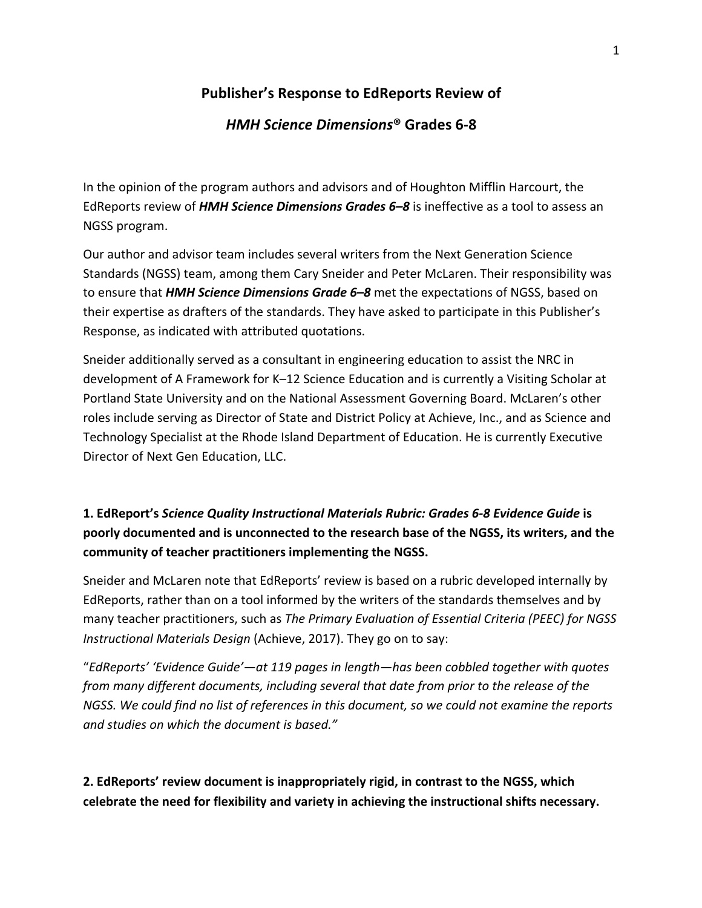## **Publisher's Response to EdReports Review of**

#### *HMH Science Dimensions***® Grades 6-8**

In the opinion of the program authors and advisors and of Houghton Mifflin Harcourt, the EdReports review of *HMH Science Dimensions Grades 6–8* is ineffective as a tool to assess an NGSS program.

Our author and advisor team includes several writers from the Next Generation Science Standards (NGSS) team, among them Cary Sneider and Peter McLaren. Their responsibility was to ensure that *HMH Science Dimensions Grade 6–8* met the expectations of NGSS, based on their expertise as drafters of the standards. They have asked to participate in this Publisher's Response, as indicated with attributed quotations.

Sneider additionally served as a consultant in engineering education to assist the NRC in development of A Framework for K–12 Science Education and is currently a Visiting Scholar at Portland State University and on the National Assessment Governing Board. McLaren's other roles include serving as Director of State and District Policy at Achieve, Inc., and as Science and Technology Specialist at the Rhode Island Department of Education. He is currently Executive Director of Next Gen Education, LLC.

# **1. EdReport's** *Science Quality Instructional Materials Rubric: Grades 6-8 Evidence Guide* **is poorly documented and is unconnected to the research base of the NGSS, its writers, and the community of teacher practitioners implementing the NGSS.**

Sneider and McLaren note that EdReports' review is based on a rubric developed internally by EdReports, rather than on a tool informed by the writers of the standards themselves and by many teacher practitioners, such as *The Primary Evaluation of Essential Criteria (PEEC) for NGSS Instructional Materials Design* (Achieve, 2017). They go on to say:

"*EdReports' 'Evidence Guide'—at 119 pages in length—has been cobbled together with quotes from many different documents, including several that date from prior to the release of the NGSS. We could find no list of references in this document, so we could not examine the reports and studies on which the document is based."*

**2. EdReports' review document is inappropriately rigid, in contrast to the NGSS, which celebrate the need for flexibility and variety in achieving the instructional shifts necessary.**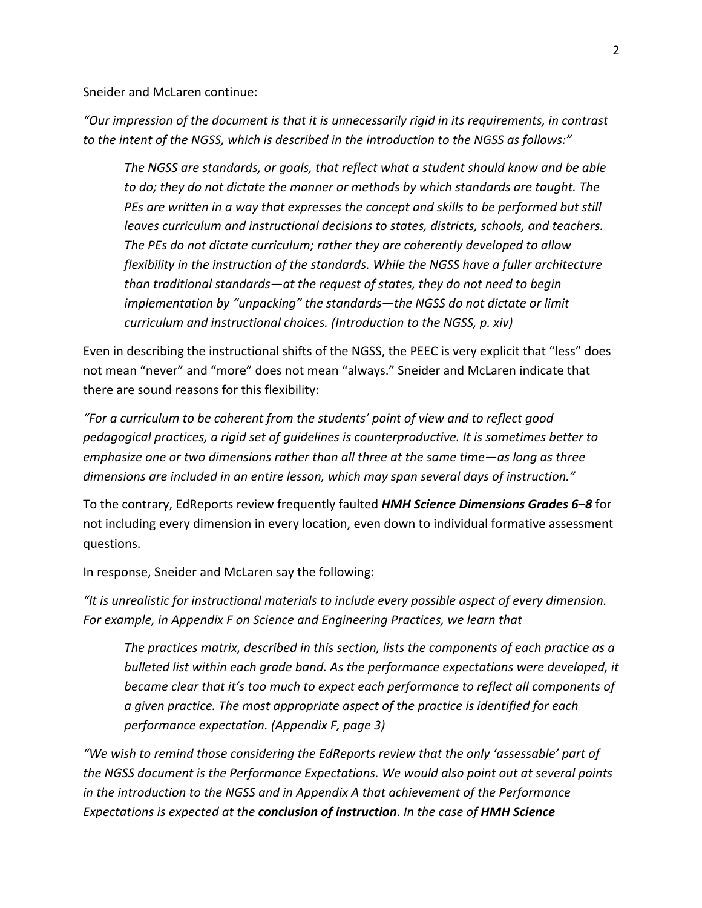Sneider and McLaren continue:

*"Our impression of the document is that it is unnecessarily rigid in its requirements, in contrast to the intent of the NGSS, which is described in the introduction to the NGSS as follows:"*

*The NGSS are standards, or goals, that reflect what a student should know and be able to do; they do not dictate the manner or methods by which standards are taught. The PEs are written in a way that expresses the concept and skills to be performed but still leaves curriculum and instructional decisions to states, districts, schools, and teachers. The PEs do not dictate curriculum; rather they are coherently developed to allow flexibility in the instruction of the standards. While the NGSS have a fuller architecture than traditional standards—at the request of states, they do not need to begin implementation by "unpacking" the standards—the NGSS do not dictate or limit curriculum and instructional choices. (Introduction to the NGSS, p. xiv)*

Even in describing the instructional shifts of the NGSS, the PEEC is very explicit that "less" does not mean "never" and "more" does not mean "always." Sneider and McLaren indicate that there are sound reasons for this flexibility:

*"For a curriculum to be coherent from the students' point of view and to reflect good pedagogical practices, a rigid set of guidelines is counterproductive. It is sometimes better to emphasize one or two dimensions rather than all three at the same time—as long as three dimensions are included in an entire lesson, which may span several days of instruction."*

To the contrary, EdReports review frequently faulted *HMH Science Dimensions Grades 6–8* for not including every dimension in every location, even down to individual formative assessment questions.

In response, Sneider and McLaren say the following:

*"It is unrealistic for instructional materials to include every possible aspect of every dimension. For example, in Appendix F on Science and Engineering Practices, we learn that*

*The practices matrix, described in this section, lists the components of each practice as a bulleted list within each grade band. As the performance expectations were developed, it became clear that it's too much to expect each performance to reflect all components of a given practice. The most appropriate aspect of the practice is identified for each performance expectation. (Appendix F, page 3)*

*"We wish to remind those considering the EdReports review that the only 'assessable' part of the NGSS document is the Performance Expectations. We would also point out at several points in the introduction to the NGSS and in Appendix A that achievement of the Performance Expectations is expected at the conclusion of instruction*. *In the case of HMH Science*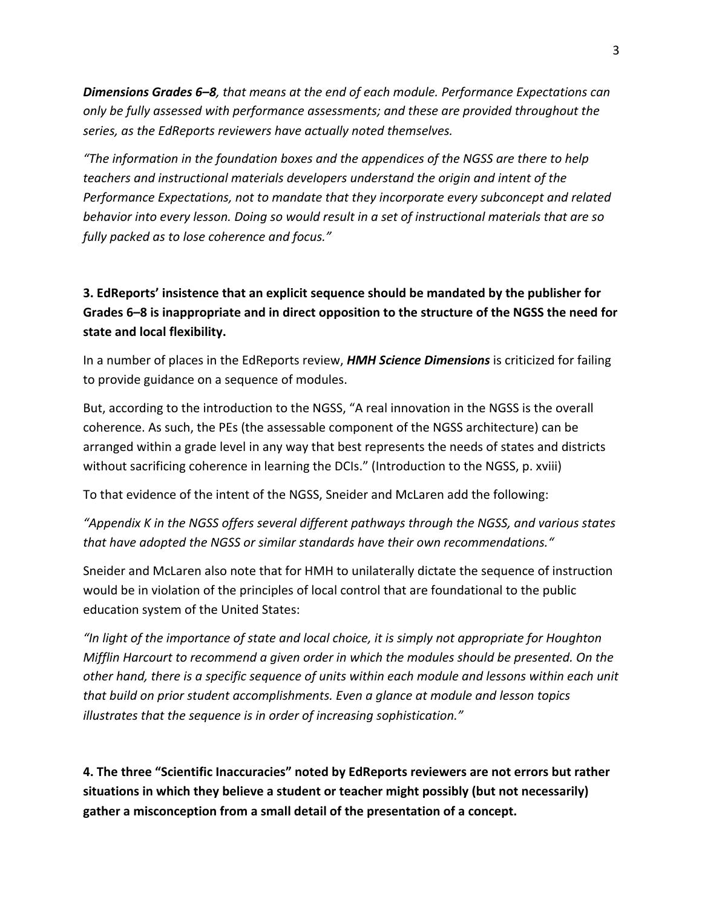*Dimensions Grades 6–8, that means at the end of each module. Performance Expectations can only be fully assessed with performance assessments; and these are provided throughout the series, as the EdReports reviewers have actually noted themselves.*

*"The information in the foundation boxes and the appendices of the NGSS are there to help teachers and instructional materials developers understand the origin and intent of the Performance Expectations, not to mandate that they incorporate every subconcept and related behavior into every lesson. Doing so would result in a set of instructional materials that are so fully packed as to lose coherence and focus."*

### **3. EdReports' insistence that an explicit sequence should be mandated by the publisher for Grades 6–8 is inappropriate and in direct opposition to the structure of the NGSS the need for state and local flexibility.**

In a number of places in the EdReports review, *HMH Science Dimensions* is criticized for failing to provide guidance on a sequence of modules.

But, according to the introduction to the NGSS, "A real innovation in the NGSS is the overall coherence. As such, the PEs (the assessable component of the NGSS architecture) can be arranged within a grade level in any way that best represents the needs of states and districts without sacrificing coherence in learning the DCIs." (Introduction to the NGSS, p. xviii)

To that evidence of the intent of the NGSS, Sneider and McLaren add the following:

*"Appendix K in the NGSS offers several different pathways through the NGSS, and various states that have adopted the NGSS or similar standards have their own recommendations."*

Sneider and McLaren also note that for HMH to unilaterally dictate the sequence of instruction would be in violation of the principles of local control that are foundational to the public education system of the United States:

*"In light of the importance of state and local choice, it is simply not appropriate for Houghton Mifflin Harcourt to recommend a given order in which the modules should be presented. On the other hand, there is a specific sequence of units within each module and lessons within each unit that build on prior student accomplishments. Even a glance at module and lesson topics illustrates that the sequence is in order of increasing sophistication."*

**4. The three "Scientific Inaccuracies" noted by EdReports reviewers are not errors but rather situations in which they believe a student or teacher might possibly (but not necessarily) gather a misconception from a small detail of the presentation of a concept.**